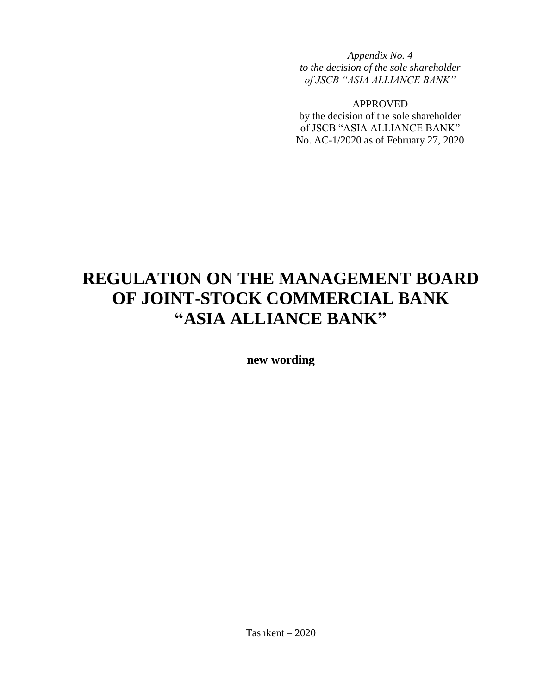*Appendix No. 4 to the decision of the sole shareholder of JSCB "ASIA ALLIANCE BANK"* 

APPROVED

by the decision of the sole shareholder of JSCB "ASIA ALLIANCE BANK" No. AC-1/2020 as of February 27, 2020

# **REGULATION ON THE MANAGEMENT BOARD OF JOINT-STOCK COMMERCIAL BANK "ASIA ALLIANCE BANK"**

**new wording**

Tashkent – 2020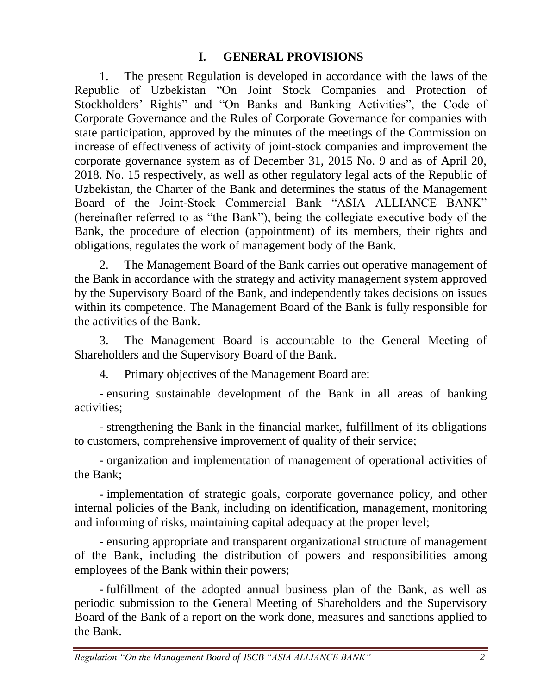## **I. GENERAL PROVISIONS**

1. The present Regulation is developed in accordance with the laws of the Republic of Uzbekistan "On Joint Stock Companies and Protection of Stockholders' Rights" and "On Banks and Banking Activities", the Code of Corporate Governance and the Rules of Corporate Governance for companies with state participation, approved by the minutes of the meetings of the Commission on increase of effectiveness of activity of joint-stock companies and improvement the corporate governance system as of December 31, 2015 No. 9 and as of April 20, 2018. No. 15 respectively, as well as other regulatory legal acts of the Republic of Uzbekistan, the Charter of the Bank and determines the status of the Management Board of the Joint-Stock Commercial Bank "ASIA ALLIANCE BANK" (hereinafter referred to as "the Bank"), being the collegiate executive body of the Bank, the procedure of election (appointment) of its members, their rights and obligations, regulates the work of management body of the Bank.

2. The Management Board of the Bank carries out operative management of the Bank in accordance with the strategy and activity management system approved by the Supervisory Board of the Bank, and independently takes decisions on issues within its competence. The Management Board of the Bank is fully responsible for the activities of the Bank.

3. The Management Board is accountable to the General Meeting of Shareholders and the Supervisory Board of the Bank.

4. Primary objectives of the Management Board are:

- ensuring sustainable development of the Bank in all areas of banking activities;

- strengthening the Bank in the financial market, fulfillment of its obligations to customers, comprehensive improvement of quality of their service;

- organization and implementation of management of operational activities of the Bank;

- implementation of strategic goals, corporate governance policy, and other internal policies of the Bank, including on identification, management, monitoring and informing of risks, maintaining capital adequacy at the proper level;

- ensuring appropriate and transparent organizational structure of management of the Bank, including the distribution of powers and responsibilities among employees of the Bank within their powers;

- fulfillment of the adopted annual business plan of the Bank, as well as periodic submission to the General Meeting of Shareholders and the Supervisory Board of the Bank of a report on the work done, measures and sanctions applied to the Bank.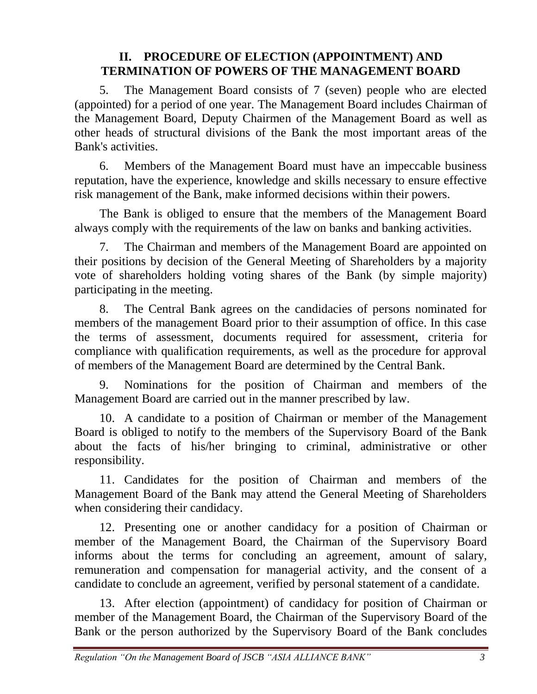#### **II. PROCEDURE OF ELECTION (APPOINTMENT) AND TERMINATION OF POWERS OF THE MANAGEMENT BOARD**

5. The Management Board consists of 7 (seven) people who are elected (appointed) for a period of one year. The Management Board includes Chairman of the Management Board, Deputy Chairmen of the Management Board as well as other heads of structural divisions of the Bank the most important areas of the Bank's activities.

6. Members of the Management Board must have an impeccable business reputation, have the experience, knowledge and skills necessary to ensure effective risk management of the Bank, make informed decisions within their powers.

The Bank is obliged to ensure that the members of the Management Board always comply with the requirements of the law on banks and banking activities.

7. The Chairman and members of the Management Board are appointed on their positions by decision of the General Meeting of Shareholders by a majority vote of shareholders holding voting shares of the Bank (by simple majority) participating in the meeting.

8. The Central Bank agrees on the candidacies of persons nominated for members of the management Board prior to their assumption of office. In this case the terms of assessment, documents required for assessment, criteria for compliance with qualification requirements, as well as the procedure for approval of members of the Management Board are determined by the Central Bank.

9. Nominations for the position of Chairman and members of the Management Board are carried out in the manner prescribed by law.

10. A candidate to a position of Chairman or member of the Management Board is obliged to notify to the members of the Supervisory Board of the Bank about the facts of his/her bringing to criminal, administrative or other responsibility.

11. Candidates for the position of Chairman and members of the Management Board of the Bank may attend the General Meeting of Shareholders when considering their candidacy.

12. Presenting one or another candidacy for a position of Chairman or member of the Management Board, the Chairman of the Supervisory Board informs about the terms for concluding an agreement, amount of salary, remuneration and compensation for managerial activity, and the consent of a candidate to conclude an agreement, verified by personal statement of a candidate.

13. After election (appointment) of candidacy for position of Chairman or member of the Management Board, the Chairman of the Supervisory Board of the Bank or the person authorized by the Supervisory Board of the Bank concludes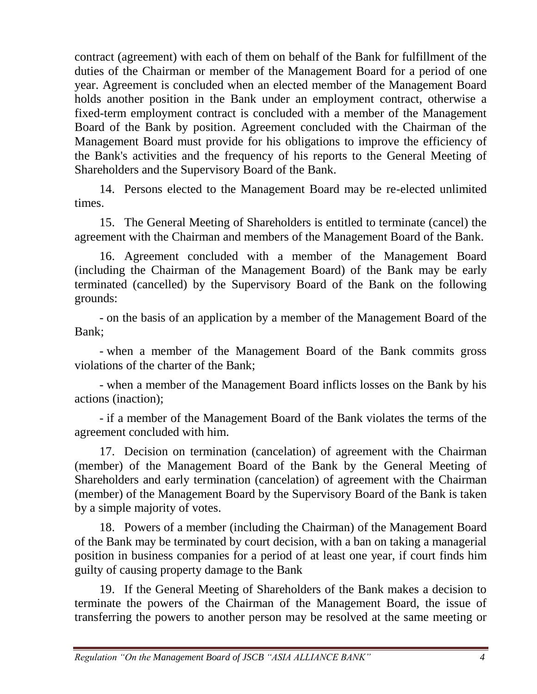contract (agreement) with each of them on behalf of the Bank for fulfillment of the duties of the Chairman or member of the Management Board for a period of one year. Agreement is concluded when an elected member of the Management Board holds another position in the Bank under an employment contract, otherwise a fixed-term employment contract is concluded with a member of the Management Board of the Bank by position. Agreement concluded with the Chairman of the Management Board must provide for his obligations to improve the efficiency of the Bank's activities and the frequency of his reports to the General Meeting of Shareholders and the Supervisory Board of the Bank.

14. Persons elected to the Management Board may be re-elected unlimited times.

15. The General Meeting of Shareholders is entitled to terminate (cancel) the agreement with the Chairman and members of the Management Board of the Bank.

16. Agreement concluded with a member of the Management Board (including the Chairman of the Management Board) of the Bank may be early terminated (cancelled) by the Supervisory Board of the Bank on the following grounds:

- on the basis of an application by a member of the Management Board of the Bank;

- when a member of the Management Board of the Bank commits gross violations of the charter of the Bank;

- when a member of the Management Board inflicts losses on the Bank by his actions (inaction);

- if a member of the Management Board of the Bank violates the terms of the agreement concluded with him.

17. Decision on termination (cancelation) of agreement with the Chairman (member) of the Management Board of the Bank by the General Meeting of Shareholders and early termination (cancelation) of agreement with the Chairman (member) of the Management Board by the Supervisory Board of the Bank is taken by a simple majority of votes.

18. Powers of a member (including the Chairman) of the Management Board of the Bank may be terminated by court decision, with a ban on taking a managerial position in business companies for a period of at least one year, if court finds him guilty of causing property damage to the Bank

19. If the General Meeting of Shareholders of the Bank makes a decision to terminate the powers of the Chairman of the Management Board, the issue of transferring the powers to another person may be resolved at the same meeting or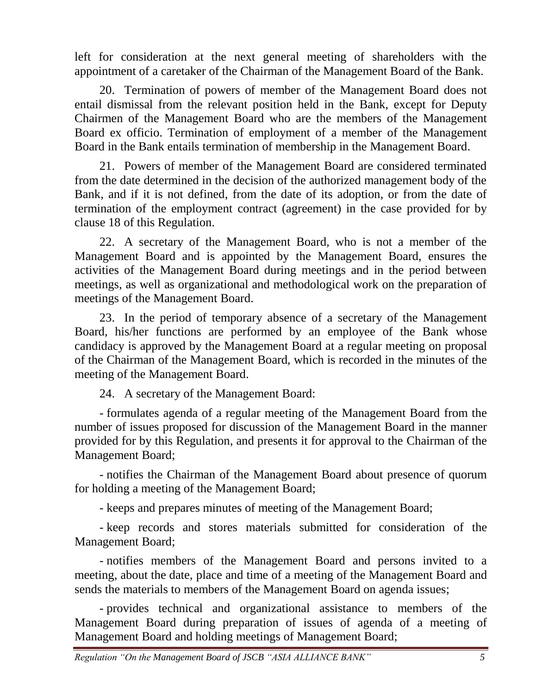left for consideration at the next general meeting of shareholders with the appointment of a caretaker of the Chairman of the Management Board of the Bank.

20. Termination of powers of member of the Management Board does not entail dismissal from the relevant position held in the Bank, except for Deputy Chairmen of the Management Board who are the members of the Management Board ex officio. Termination of employment of a member of the Management Board in the Bank entails termination of membership in the Management Board.

21. Powers of member of the Management Board are considered terminated from the date determined in the decision of the authorized management body of the Bank, and if it is not defined, from the date of its adoption, or from the date of termination of the employment contract (agreement) in the case provided for by clause 18 of this Regulation.

22. A secretary of the Management Board, who is not a member of the Management Board and is appointed by the Management Board, ensures the activities of the Management Board during meetings and in the period between meetings, as well as organizational and methodological work on the preparation of meetings of the Management Board.

23. In the period of temporary absence of a secretary of the Management Board, his/her functions are performed by an employee of the Bank whose candidacy is approved by the Management Board at a regular meeting on proposal of the Chairman of the Management Board, which is recorded in the minutes of the meeting of the Management Board.

24. A secretary of the Management Board:

- formulates agenda of a regular meeting of the Management Board from the number of issues proposed for discussion of the Management Board in the manner provided for by this Regulation, and presents it for approval to the Chairman of the Management Board;

- notifies the Chairman of the Management Board about presence of quorum for holding a meeting of the Management Board;

- keeps and prepares minutes of meeting of the Management Board;

- keep records and stores materials submitted for consideration of the Management Board;

- notifies members of the Management Board and persons invited to a meeting, about the date, place and time of a meeting of the Management Board and sends the materials to members of the Management Board on agenda issues;

- provides technical and organizational assistance to members of the Management Board during preparation of issues of agenda of a meeting of Management Board and holding meetings of Management Board;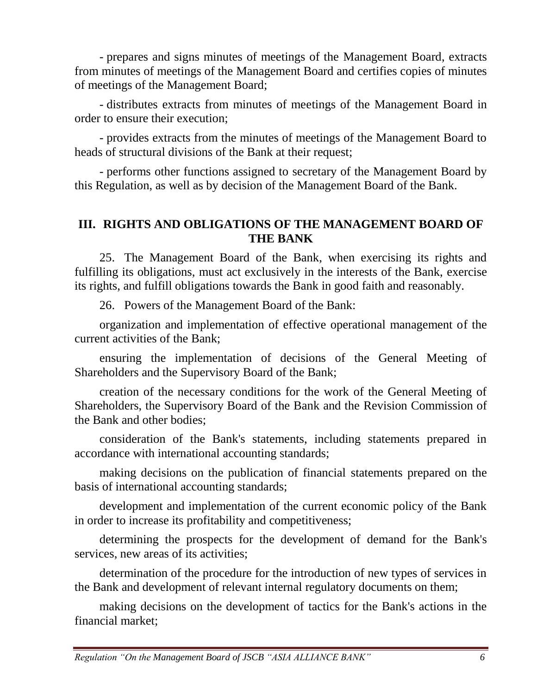- prepares and signs minutes of meetings of the Management Board, extracts from minutes of meetings of the Management Board and certifies copies of minutes of meetings of the Management Board;

- distributes extracts from minutes of meetings of the Management Board in order to ensure their execution;

- provides extracts from the minutes of meetings of the Management Board to heads of structural divisions of the Bank at their request;

- performs other functions assigned to secretary of the Management Board by this Regulation, as well as by decision of the Management Board of the Bank.

#### **III. RIGHTS AND OBLIGATIONS OF THE MANAGEMENT BOARD OF THE BANK**

25. The Management Board of the Bank, when exercising its rights and fulfilling its obligations, must act exclusively in the interests of the Bank, exercise its rights, and fulfill obligations towards the Bank in good faith and reasonably.

26. Powers of the Management Board of the Bank:

organization and implementation of effective operational management of the current activities of the Bank;

ensuring the implementation of decisions of the General Meeting of Shareholders and the Supervisory Board of the Bank;

creation of the necessary conditions for the work of the General Meeting of Shareholders, the Supervisory Board of the Bank and the Revision Commission of the Bank and other bodies;

consideration of the Bank's statements, including statements prepared in accordance with international accounting standards;

making decisions on the publication of financial statements prepared on the basis of international accounting standards;

development and implementation of the current economic policy of the Bank in order to increase its profitability and competitiveness;

determining the prospects for the development of demand for the Bank's services, new areas of its activities;

determination of the procedure for the introduction of new types of services in the Bank and development of relevant internal regulatory documents on them;

making decisions on the development of tactics for the Bank's actions in the financial market;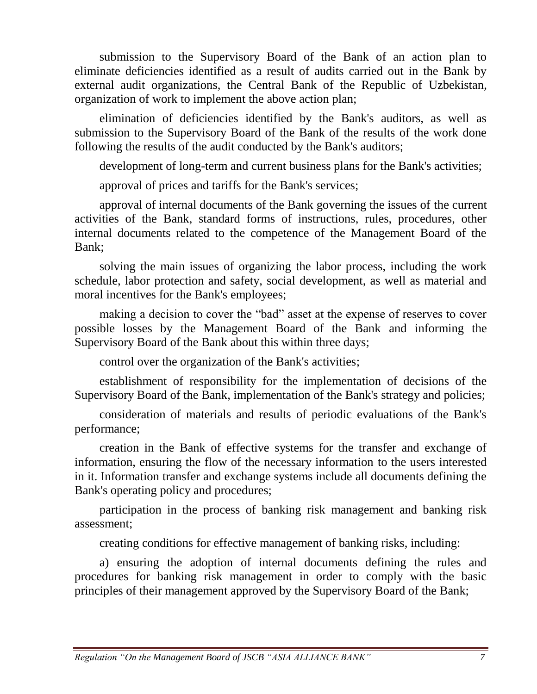submission to the Supervisory Board of the Bank of an action plan to eliminate deficiencies identified as a result of audits carried out in the Bank by external audit organizations, the Central Bank of the Republic of Uzbekistan, organization of work to implement the above action plan;

elimination of deficiencies identified by the Bank's auditors, as well as submission to the Supervisory Board of the Bank of the results of the work done following the results of the audit conducted by the Bank's auditors;

development of long-term and current business plans for the Bank's activities;

approval of prices and tariffs for the Bank's services;

approval of internal documents of the Bank governing the issues of the current activities of the Bank, standard forms of instructions, rules, procedures, other internal documents related to the competence of the Management Board of the Bank;

solving the main issues of organizing the labor process, including the work schedule, labor protection and safety, social development, as well as material and moral incentives for the Bank's employees;

making a decision to cover the "bad" asset at the expense of reserves to cover possible losses by the Management Board of the Bank and informing the Supervisory Board of the Bank about this within three days;

control over the organization of the Bank's activities;

establishment of responsibility for the implementation of decisions of the Supervisory Board of the Bank, implementation of the Bank's strategy and policies;

consideration of materials and results of periodic evaluations of the Bank's performance;

creation in the Bank of effective systems for the transfer and exchange of information, ensuring the flow of the necessary information to the users interested in it. Information transfer and exchange systems include all documents defining the Bank's operating policy and procedures;

participation in the process of banking risk management and banking risk assessment;

creating conditions for effective management of banking risks, including:

a) ensuring the adoption of internal documents defining the rules and procedures for banking risk management in order to comply with the basic principles of their management approved by the Supervisory Board of the Bank;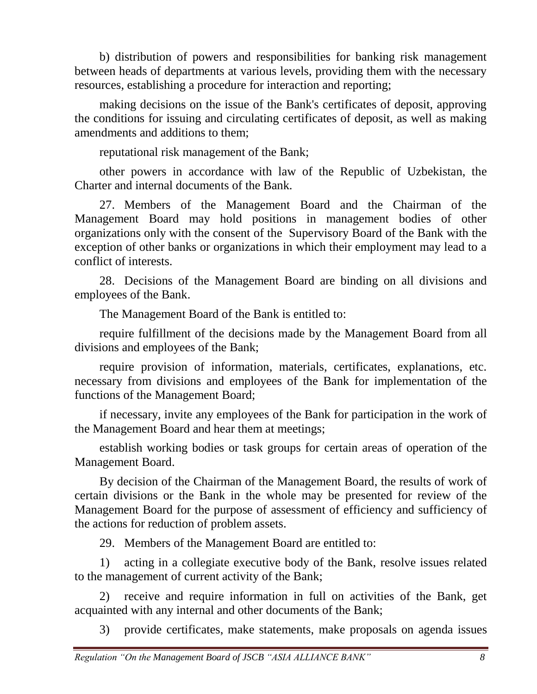b) distribution of powers and responsibilities for banking risk management between heads of departments at various levels, providing them with the necessary resources, establishing a procedure for interaction and reporting;

making decisions on the issue of the Bank's certificates of deposit, approving the conditions for issuing and circulating certificates of deposit, as well as making amendments and additions to them;

reputational risk management of the Bank;

other powers in accordance with law of the Republic of Uzbekistan, the Charter and internal documents of the Bank.

27. Members of the Management Board and the Chairman of the Management Board may hold positions in management bodies of other organizations only with the consent of the Supervisory Board of the Bank with the exception of other banks or organizations in which their employment may lead to a conflict of interests.

28. Decisions of the Management Board are binding on all divisions and employees of the Bank.

The Management Board of the Bank is entitled to:

require fulfillment of the decisions made by the Management Board from all divisions and employees of the Bank;

require provision of information, materials, certificates, explanations, etc. necessary from divisions and employees of the Bank for implementation of the functions of the Management Board;

if necessary, invite any employees of the Bank for participation in the work of the Management Board and hear them at meetings;

establish working bodies or task groups for certain areas of operation of the Management Board.

By decision of the Chairman of the Management Board, the results of work of certain divisions or the Bank in the whole may be presented for review of the Management Board for the purpose of assessment of efficiency and sufficiency of the actions for reduction of problem assets.

29. Members of the Management Board are entitled to:

1) acting in a collegiate executive body of the Bank, resolve issues related to the management of current activity of the Bank;

2) receive and require information in full on activities of the Bank, get acquainted with any internal and other documents of the Bank;

3) provide certificates, make statements, make proposals on agenda issues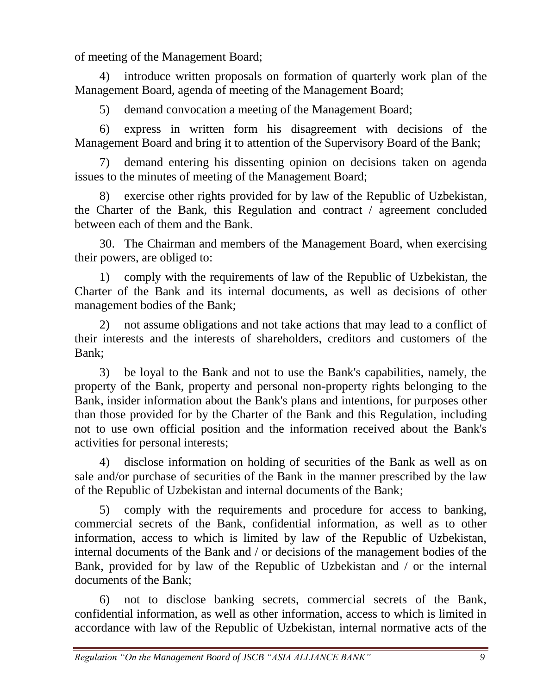of meeting of the Management Board;

4) introduce written proposals on formation of quarterly work plan of the Management Board, agenda of meeting of the Management Board;

5) demand convocation a meeting of the Management Board;

6) express in written form his disagreement with decisions of the Management Board and bring it to attention of the Supervisory Board of the Bank;

7) demand entering his dissenting opinion on decisions taken on agenda issues to the minutes of meeting of the Management Board;

8) exercise other rights provided for by law of the Republic of Uzbekistan, the Charter of the Bank, this Regulation and contract / agreement concluded between each of them and the Bank.

30. The Chairman and members of the Management Board, when exercising their powers, are obliged to:

1) comply with the requirements of law of the Republic of Uzbekistan, the Charter of the Bank and its internal documents, as well as decisions of other management bodies of the Bank;

2) not assume obligations and not take actions that may lead to a conflict of their interests and the interests of shareholders, creditors and customers of the Bank;

3) be loyal to the Bank and not to use the Bank's capabilities, namely, the property of the Bank, property and personal non-property rights belonging to the Bank, insider information about the Bank's plans and intentions, for purposes other than those provided for by the Charter of the Bank and this Regulation, including not to use own official position and the information received about the Bank's activities for personal interests;

4) disclose information on holding of securities of the Bank as well as on sale and/or purchase of securities of the Bank in the manner prescribed by the law of the Republic of Uzbekistan and internal documents of the Bank;

5) comply with the requirements and procedure for access to banking, commercial secrets of the Bank, confidential information, as well as to other information, access to which is limited by law of the Republic of Uzbekistan, internal documents of the Bank and / or decisions of the management bodies of the Bank, provided for by law of the Republic of Uzbekistan and / or the internal documents of the Bank;

6) not to disclose banking secrets, commercial secrets of the Bank, confidential information, as well as other information, access to which is limited in accordance with law of the Republic of Uzbekistan, internal normative acts of the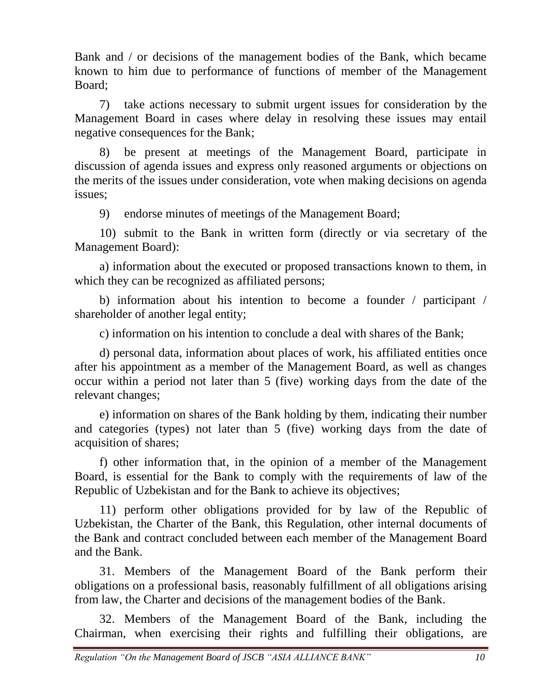Bank and / or decisions of the management bodies of the Bank, which became known to him due to performance of functions of member of the Management Board;

7) take actions necessary to submit urgent issues for consideration by the Management Board in cases where delay in resolving these issues may entail negative consequences for the Bank;

8) be present at meetings of the Management Board, participate in discussion of agenda issues and express only reasoned arguments or objections on the merits of the issues under consideration, vote when making decisions on agenda issues;

9) endorse minutes of meetings of the Management Board;

10) submit to the Bank in written form (directly or via secretary of the Management Board):

a) information about the executed or proposed transactions known to them, in which they can be recognized as affiliated persons;

b) information about his intention to become a founder / participant / shareholder of another legal entity;

c) information on his intention to conclude a deal with shares of the Bank;

d) personal data, information about places of work, his affiliated entities once after his appointment as a member of the Management Board, as well as changes occur within a period not later than 5 (five) working days from the date of the relevant changes;

e) information on shares of the Bank holding by them, indicating their number and categories (types) not later than 5 (five) working days from the date of acquisition of shares;

f) other information that, in the opinion of a member of the Management Board, is essential for the Bank to comply with the requirements of law of the Republic of Uzbekistan and for the Bank to achieve its objectives;

11) perform other obligations provided for by law of the Republic of Uzbekistan, the Charter of the Bank, this Regulation, other internal documents of the Bank and contract concluded between each member of the Management Board and the Bank.

31. Members of the Management Board of the Bank perform their obligations on a professional basis, reasonably fulfillment of all obligations arising from law, the Charter and decisions of the management bodies of the Bank.

32. Members of the Management Board of the Bank, including the Chairman, when exercising their rights and fulfilling their obligations, are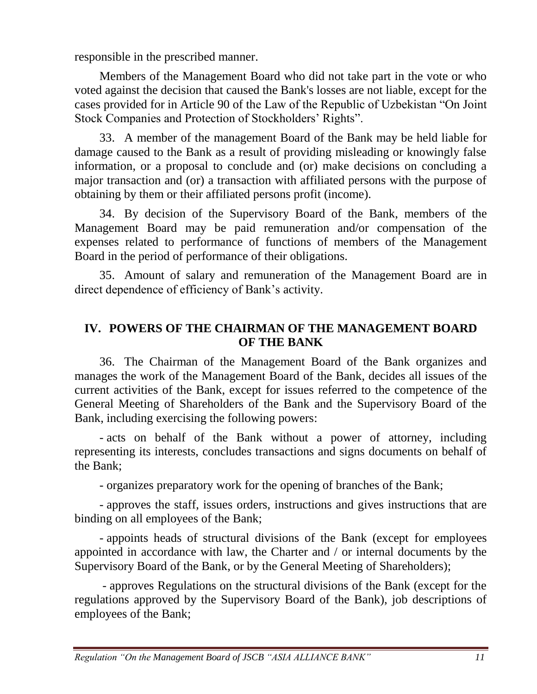responsible in the prescribed manner.

Members of the Management Board who did not take part in the vote or who voted against the decision that caused the Bank's losses are not liable, except for the cases provided for in Article 90 of the Law of the Republic of Uzbekistan "On Joint Stock Companies and Protection of Stockholders' Rights".

33. A member of the management Board of the Bank may be held liable for damage caused to the Bank as a result of providing misleading or knowingly false information, or a proposal to conclude and (or) make decisions on concluding a major transaction and (or) a transaction with affiliated persons with the purpose of obtaining by them or their affiliated persons profit (income).

34. By decision of the Supervisory Board of the Bank, members of the Management Board may be paid remuneration and/or compensation of the expenses related to performance of functions of members of the Management Board in the period of performance of their obligations.

35. Amount of salary and remuneration of the Management Board are in direct dependence of efficiency of Bank's activity.

### **IV. POWERS OF THE CHAIRMAN OF THE MANAGEMENT BOARD OF THE BANK**

36. The Chairman of the Management Board of the Bank organizes and manages the work of the Management Board of the Bank, decides all issues of the current activities of the Bank, except for issues referred to the competence of the General Meeting of Shareholders of the Bank and the Supervisory Board of the Bank, including exercising the following powers:

- acts on behalf of the Bank without a power of attorney, including representing its interests, concludes transactions and signs documents on behalf of the Bank;

- organizes preparatory work for the opening of branches of the Bank;

- approves the staff, issues orders, instructions and gives instructions that are binding on all employees of the Bank;

- appoints heads of structural divisions of the Bank (except for employees appointed in accordance with law, the Charter and / or internal documents by the Supervisory Board of the Bank, or by the General Meeting of Shareholders);

- approves Regulations on the structural divisions of the Bank (except for the regulations approved by the Supervisory Board of the Bank), job descriptions of employees of the Bank;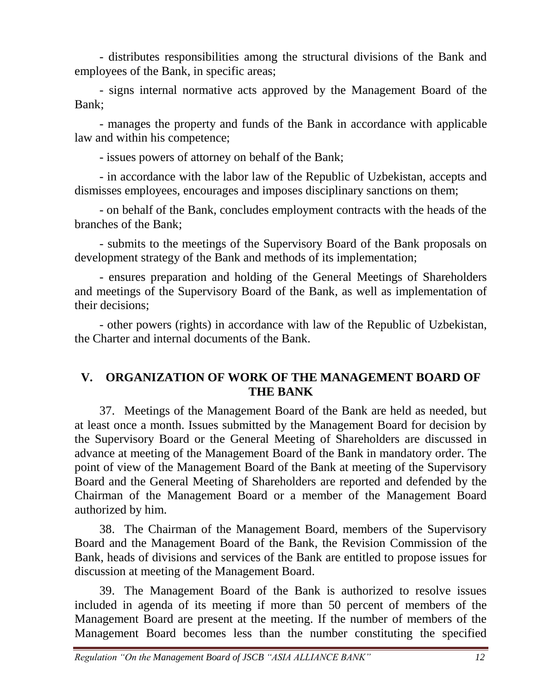- distributes responsibilities among the structural divisions of the Bank and employees of the Bank, in specific areas;

- signs internal normative acts approved by the Management Board of the Bank;

- manages the property and funds of the Bank in accordance with applicable law and within his competence;

- issues powers of attorney on behalf of the Bank;

- in accordance with the labor law of the Republic of Uzbekistan, accepts and dismisses employees, encourages and imposes disciplinary sanctions on them;

- on behalf of the Bank, concludes employment contracts with the heads of the branches of the Bank;

- submits to the meetings of the Supervisory Board of the Bank proposals on development strategy of the Bank and methods of its implementation;

- ensures preparation and holding of the General Meetings of Shareholders and meetings of the Supervisory Board of the Bank, as well as implementation of their decisions;

- other powers (rights) in accordance with law of the Republic of Uzbekistan, the Charter and internal documents of the Bank.

#### **V. ORGANIZATION OF WORK OF THE MANAGEMENT BOARD OF THE BANK**

37. Meetings of the Management Board of the Bank are held as needed, but at least once a month. Issues submitted by the Management Board for decision by the Supervisory Board or the General Meeting of Shareholders are discussed in advance at meeting of the Management Board of the Bank in mandatory order. The point of view of the Management Board of the Bank at meeting of the Supervisory Board and the General Meeting of Shareholders are reported and defended by the Chairman of the Management Board or a member of the Management Board authorized by him.

38. The Chairman of the Management Board, members of the Supervisory Board and the Management Board of the Bank, the Revision Commission of the Bank, heads of divisions and services of the Bank are entitled to propose issues for discussion at meeting of the Management Board.

39. The Management Board of the Bank is authorized to resolve issues included in agenda of its meeting if more than 50 percent of members of the Management Board are present at the meeting. If the number of members of the Management Board becomes less than the number constituting the specified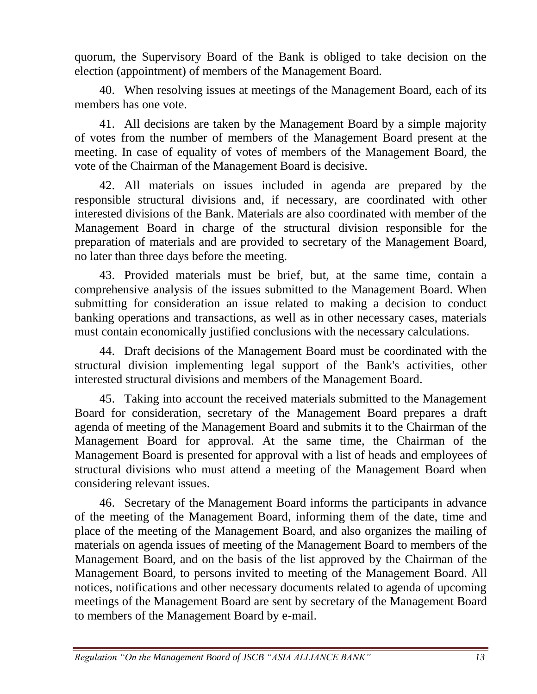quorum, the Supervisory Board of the Bank is obliged to take decision on the election (appointment) of members of the Management Board.

40. When resolving issues at meetings of the Management Board, each of its members has one vote.

41. All decisions are taken by the Management Board by a simple majority of votes from the number of members of the Management Board present at the meeting. In case of equality of votes of members of the Management Board, the vote of the Chairman of the Management Board is decisive.

42. All materials on issues included in agenda are prepared by the responsible structural divisions and, if necessary, are coordinated with other interested divisions of the Bank. Materials are also coordinated with member of the Management Board in charge of the structural division responsible for the preparation of materials and are provided to secretary of the Management Board, no later than three days before the meeting.

43. Provided materials must be brief, but, at the same time, contain a comprehensive analysis of the issues submitted to the Management Board. When submitting for consideration an issue related to making a decision to conduct banking operations and transactions, as well as in other necessary cases, materials must contain economically justified conclusions with the necessary calculations.

44. Draft decisions of the Management Board must be coordinated with the structural division implementing legal support of the Bank's activities, other interested structural divisions and members of the Management Board.

45. Taking into account the received materials submitted to the Management Board for consideration, secretary of the Management Board prepares a draft agenda of meeting of the Management Board and submits it to the Chairman of the Management Board for approval. At the same time, the Chairman of the Management Board is presented for approval with a list of heads and employees of structural divisions who must attend a meeting of the Management Board when considering relevant issues.

46. Secretary of the Management Board informs the participants in advance of the meeting of the Management Board, informing them of the date, time and place of the meeting of the Management Board, and also organizes the mailing of materials on agenda issues of meeting of the Management Board to members of the Management Board, and on the basis of the list approved by the Chairman of the Management Board, to persons invited to meeting of the Management Board. All notices, notifications and other necessary documents related to agenda of upcoming meetings of the Management Board are sent by secretary of the Management Board to members of the Management Board by e-mail.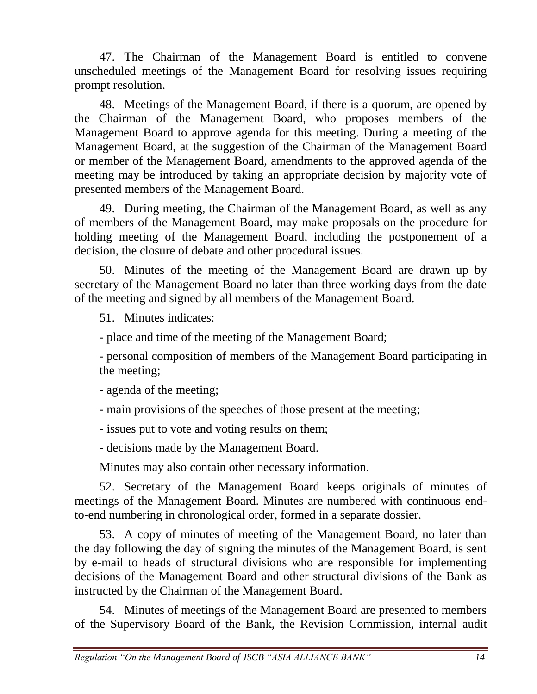47. The Chairman of the Management Board is entitled to convene unscheduled meetings of the Management Board for resolving issues requiring prompt resolution.

48. Meetings of the Management Board, if there is a quorum, are opened by the Chairman of the Management Board, who proposes members of the Management Board to approve agenda for this meeting. During a meeting of the Management Board, at the suggestion of the Chairman of the Management Board or member of the Management Board, amendments to the approved agenda of the meeting may be introduced by taking an appropriate decision by majority vote of presented members of the Management Board.

49. During meeting, the Chairman of the Management Board, as well as any of members of the Management Board, may make proposals on the procedure for holding meeting of the Management Board, including the postponement of a decision, the closure of debate and other procedural issues.

50. Minutes of the meeting of the Management Board are drawn up by secretary of the Management Board no later than three working days from the date of the meeting and signed by all members of the Management Board.

51. Minutes indicates:

- place and time of the meeting of the Management Board;

- personal composition of members of the Management Board participating in the meeting;

- agenda of the meeting;

- main provisions of the speeches of those present at the meeting;

- issues put to vote and voting results on them;

- decisions made by the Management Board.

Minutes may also contain other necessary information.

52. Secretary of the Management Board keeps originals of minutes of meetings of the Management Board. Minutes are numbered with continuous endto-end numbering in chronological order, formed in a separate dossier.

53. A copy of minutes of meeting of the Management Board, no later than the day following the day of signing the minutes of the Management Board, is sent by e-mail to heads of structural divisions who are responsible for implementing decisions of the Management Board and other structural divisions of the Bank as instructed by the Chairman of the Management Board.

54. Minutes of meetings of the Management Board are presented to members of the Supervisory Board of the Bank, the Revision Commission, internal audit